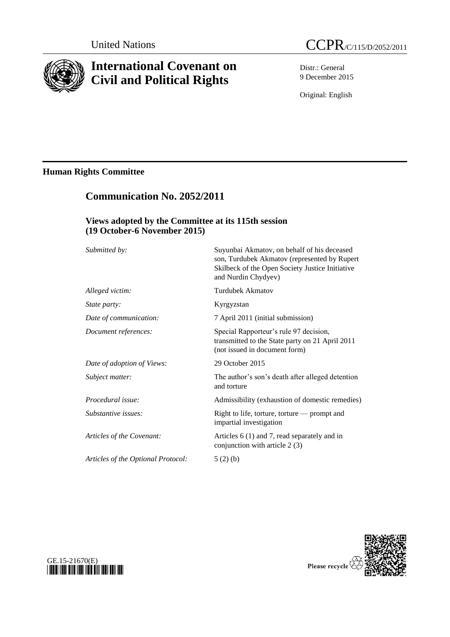

# **International Covenant on Civil and Political Rights**

**Communication No. 2052/2011**

Distr.: General 9 December 2015

Original: English

# **Human Rights Committee**

| Views adopted by the Committee at its 115th session<br>(19 October-6 November 2015) |                                                                                                                            |
|-------------------------------------------------------------------------------------|----------------------------------------------------------------------------------------------------------------------------|
|                                                                                     |                                                                                                                            |
| Alleged victim:                                                                     | <b>Turdubek Akmatov</b>                                                                                                    |
| State party:                                                                        | Kyrgyzstan                                                                                                                 |
| Date of communication:                                                              | 7 April 2011 (initial submission)                                                                                          |
| Document references:                                                                | Special Rapporteur's rule 97 decision,<br>transmitted to the State party on 21 April 2011<br>(not issued in document form) |
| Date of adoption of Views:                                                          | 29 October 2015                                                                                                            |
| Subject matter:                                                                     | The author's son's death after alleged detention<br>and torture                                                            |
| Procedural issue:                                                                   | Admissibility (exhaustion of domestic remedies)                                                                            |
| Substantive issues:                                                                 | Right to life, torture, torture - prompt and<br>impartial investigation                                                    |
| Articles of the Covenant:                                                           | Articles 6 (1) and 7, read separately and in<br>conjunction with article 2 (3)                                             |
| Articles of the Optional Protocol:                                                  | 5(2)(b)                                                                                                                    |



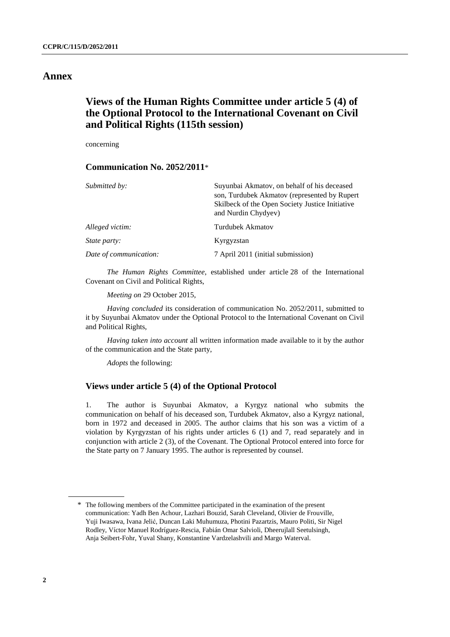# **Annex**

# **Views of the Human Rights Committee under article 5 (4) of the Optional Protocol to the International Covenant on Civil and Political Rights (115th session)**

concerning

# **Communication No. 2052/2011**\*

| Submitted by:          | Suyunbai Akmatov, on behalf of his deceased<br>son, Turdubek Akmatov (represented by Rupert<br>Skilbeck of the Open Society Justice Initiative<br>and Nurdin Chydyev) |
|------------------------|-----------------------------------------------------------------------------------------------------------------------------------------------------------------------|
| Alleged victim:        | <b>Turdubek Akmatov</b>                                                                                                                                               |
| <i>State party:</i>    | Kyrgyzstan                                                                                                                                                            |
| Date of communication: | 7 April 2011 (initial submission)                                                                                                                                     |

*The Human Rights Committee*, established under article 28 of the International Covenant on Civil and Political Rights,

*Meeting on* 29 October 2015,

*Having concluded* its consideration of communication No. 2052/2011, submitted to it by Suyunbai Akmatov under the Optional Protocol to the International Covenant on Civil and Political Rights,

*Having taken into account* all written information made available to it by the author of the communication and the State party,

*Adopts* the following:

# **Views under article 5 (4) of the Optional Protocol**

1. The author is Suyunbai Akmatov, a Kyrgyz national who submits the communication on behalf of his deceased son, Turdubek Akmatov, also a Kyrgyz national, born in 1972 and deceased in 2005. The author claims that his son was a victim of a violation by Kyrgyzstan of his rights under articles 6 (1) and 7, read separately and in conjunction with article 2 (3), of the Covenant. The Optional Protocol entered into force for the State party on 7 January 1995. The author is represented by counsel.

<sup>\*</sup> The following members of the Committee participated in the examination of the present communication: Yadh Ben Achour, Lazhari Bouzid, Sarah Cleveland, Olivier de Frouville, Yuji Iwasawa, Ivana Jelić, Duncan Laki Muhumuza, Photini Pazartzis, Mauro Politi, Sir Nigel Rodley, Víctor Manuel Rodríguez-Rescia, Fabián Omar Salvioli, Dheerujlall Seetulsingh, Anja Seibert-Fohr, Yuval Shany, Konstantine Vardzelashvili and Margo Waterval.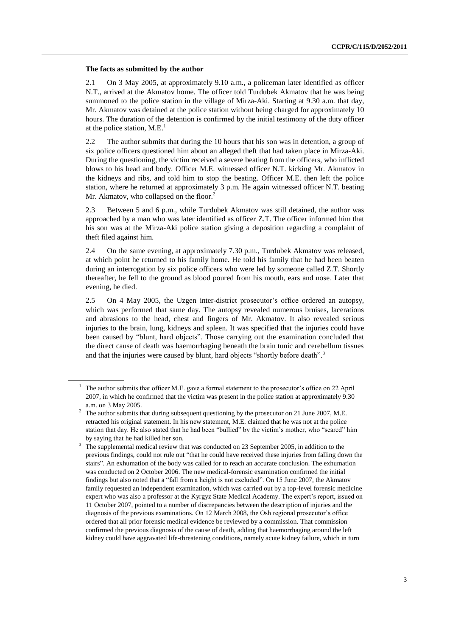# **The facts as submitted by the author**

2.1 On 3 May 2005, at approximately 9.10 a.m., a policeman later identified as officer N.T., arrived at the Akmatov home. The officer told Turdubek Akmatov that he was being summoned to the police station in the village of Mirza-Aki. Starting at 9.30 a.m. that day, Mr. Akmatov was detained at the police station without being charged for approximately 10 hours. The duration of the detention is confirmed by the initial testimony of the duty officer at the police station, M.E. 1

2.2 The author submits that during the 10 hours that his son was in detention, a group of six police officers questioned him about an alleged theft that had taken place in Mirza-Aki. During the questioning, the victim received a severe beating from the officers, who inflicted blows to his head and body. Officer M.E. witnessed officer N.T. kicking Mr. Akmatov in the kidneys and ribs, and told him to stop the beating. Officer M.E. then left the police station, where he returned at approximately 3 p.m. He again witnessed officer N.T. beating Mr. Akmatov, who collapsed on the floor.<sup>2</sup>

2.3 Between 5 and 6 p.m., while Turdubek Akmatov was still detained, the author was approached by a man who was later identified as officer Z.T. The officer informed him that his son was at the Mirza-Aki police station giving a deposition regarding a complaint of theft filed against him.

2.4 On the same evening, at approximately 7.30 p.m., Turdubek Akmatov was released, at which point he returned to his family home. He told his family that he had been beaten during an interrogation by six police officers who were led by someone called Z.T. Shortly thereafter, he fell to the ground as blood poured from his mouth, ears and nose. Later that evening, he died.

2.5 On 4 May 2005, the Uzgen inter-district prosecutor's office ordered an autopsy, which was performed that same day. The autopsy revealed numerous bruises, lacerations and abrasions to the head, chest and fingers of Mr. Akmatov. It also revealed serious injuries to the brain, lung, kidneys and spleen. It was specified that the injuries could have been caused by "blunt, hard objects". Those carrying out the examination concluded that the direct cause of death was haemorrhaging beneath the brain tunic and cerebellum tissues and that the injuries were caused by blunt, hard objects "shortly before death".<sup>3</sup>

The author submits that officer M.E. gave a formal statement to the prosecutor's office on 22 April 2007, in which he confirmed that the victim was present in the police station at approximately 9.30 a.m. on 3 May 2005.

<sup>&</sup>lt;sup>2</sup> The author submits that during subsequent questioning by the prosecutor on 21 June 2007, M.E. retracted his original statement. In his new statement, M.E. claimed that he was not at the police station that day. He also stated that he had been "bullied" by the victim's mother, who "scared" him by saying that he had killed her son.

<sup>&</sup>lt;sup>3</sup> The supplemental medical review that was conducted on 23 September 2005, in addition to the previous findings, could not rule out "that he could have received these injuries from falling down the stairs". An exhumation of the body was called for to reach an accurate conclusion. The exhumation was conducted on 2 October 2006. The new medical-forensic examination confirmed the initial findings but also noted that a "fall from a height is not excluded". On 15 June 2007, the Akmatov family requested an independent examination, which was carried out by a top-level forensic medicine expert who was also a professor at the Kyrgyz State Medical Academy. The expert's report, issued on 11 October 2007, pointed to a number of discrepancies between the description of injuries and the diagnosis of the previous examinations. On 12 March 2008, the Osh regional prosecutor's office ordered that all prior forensic medical evidence be reviewed by a commission. That commission confirmed the previous diagnosis of the cause of death, adding that haemorrhaging around the left kidney could have aggravated life-threatening conditions, namely acute kidney failure, which in turn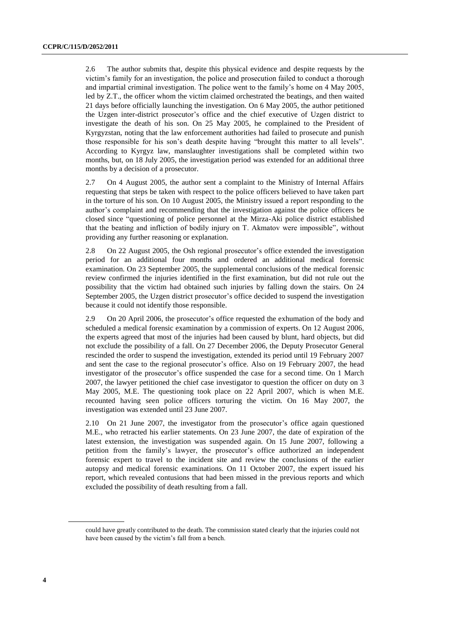2.6 The author submits that, despite this physical evidence and despite requests by the victim's family for an investigation, the police and prosecution failed to conduct a thorough and impartial criminal investigation. The police went to the family's home on 4 May 2005, led by Z.T., the officer whom the victim claimed orchestrated the beatings, and then waited 21 days before officially launching the investigation. On 6 May 2005, the author petitioned the Uzgen inter-district prosecutor's office and the chief executive of Uzgen district to investigate the death of his son. On 25 May 2005, he complained to the President of Kyrgyzstan, noting that the law enforcement authorities had failed to prosecute and punish those responsible for his son's death despite having "brought this matter to all levels". According to Kyrgyz law, manslaughter investigations shall be completed within two months, but, on 18 July 2005, the investigation period was extended for an additional three months by a decision of a prosecutor.

2.7 On 4 August 2005, the author sent a complaint to the Ministry of Internal Affairs requesting that steps be taken with respect to the police officers believed to have taken part in the torture of his son. On 10 August 2005, the Ministry issued a report responding to the author's complaint and recommending that the investigation against the police officers be closed since "questioning of police personnel at the Mirza-Aki police district established that the beating and infliction of bodily injury on T. Akmatov were impossible", without providing any further reasoning or explanation.

2.8 On 22 August 2005, the Osh regional prosecutor's office extended the investigation period for an additional four months and ordered an additional medical forensic examination. On 23 September 2005, the supplemental conclusions of the medical forensic review confirmed the injuries identified in the first examination, but did not rule out the possibility that the victim had obtained such injuries by falling down the stairs. On 24 September 2005, the Uzgen district prosecutor's office decided to suspend the investigation because it could not identify those responsible.

2.9 On 20 April 2006, the prosecutor's office requested the exhumation of the body and scheduled a medical forensic examination by a commission of experts. On 12 August 2006, the experts agreed that most of the injuries had been caused by blunt, hard objects, but did not exclude the possibility of a fall. On 27 December 2006, the Deputy Prosecutor General rescinded the order to suspend the investigation, extended its period until 19 February 2007 and sent the case to the regional prosecutor's office. Also on 19 February 2007, the head investigator of the prosecutor's office suspended the case for a second time. On 1 March 2007, the lawyer petitioned the chief case investigator to question the officer on duty on 3 May 2005, M.E. The questioning took place on 22 April 2007, which is when M.E. recounted having seen police officers torturing the victim. On 16 May 2007, the investigation was extended until 23 June 2007.

2.10 On 21 June 2007, the investigator from the prosecutor's office again questioned M.E., who retracted his earlier statements. On 23 June 2007, the date of expiration of the latest extension, the investigation was suspended again. On 15 June 2007, following a petition from the family's lawyer, the prosecutor's office authorized an independent forensic expert to travel to the incident site and review the conclusions of the earlier autopsy and medical forensic examinations. On 11 October 2007, the expert issued his report, which revealed contusions that had been missed in the previous reports and which excluded the possibility of death resulting from a fall.

could have greatly contributed to the death. The commission stated clearly that the injuries could not have been caused by the victim's fall from a bench.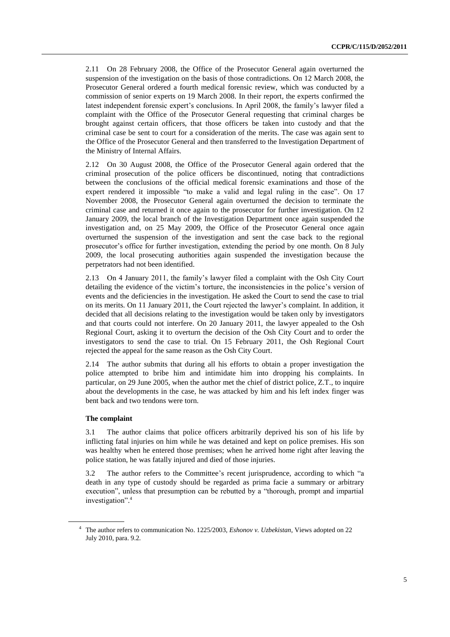2.11 On 28 February 2008, the Office of the Prosecutor General again overturned the suspension of the investigation on the basis of those contradictions. On 12 March 2008, the Prosecutor General ordered a fourth medical forensic review, which was conducted by a commission of senior experts on 19 March 2008. In their report, the experts confirmed the latest independent forensic expert's conclusions. In April 2008, the family's lawyer filed a complaint with the Office of the Prosecutor General requesting that criminal charges be brought against certain officers, that those officers be taken into custody and that the criminal case be sent to court for a consideration of the merits. The case was again sent to the Office of the Prosecutor General and then transferred to the Investigation Department of the Ministry of Internal Affairs.

2.12 On 30 August 2008, the Office of the Prosecutor General again ordered that the criminal prosecution of the police officers be discontinued, noting that contradictions between the conclusions of the official medical forensic examinations and those of the expert rendered it impossible "to make a valid and legal ruling in the case". On 17 November 2008, the Prosecutor General again overturned the decision to terminate the criminal case and returned it once again to the prosecutor for further investigation. On 12 January 2009, the local branch of the Investigation Department once again suspended the investigation and, on 25 May 2009, the Office of the Prosecutor General once again overturned the suspension of the investigation and sent the case back to the regional prosecutor's office for further investigation, extending the period by one month. On 8 July 2009, the local prosecuting authorities again suspended the investigation because the perpetrators had not been identified.

2.13 On 4 January 2011, the family's lawyer filed a complaint with the Osh City Court detailing the evidence of the victim's torture, the inconsistencies in the police's version of events and the deficiencies in the investigation. He asked the Court to send the case to trial on its merits. On 11 January 2011, the Court rejected the lawyer's complaint. In addition, it decided that all decisions relating to the investigation would be taken only by investigators and that courts could not interfere. On 20 January 2011, the lawyer appealed to the Osh Regional Court, asking it to overturn the decision of the Osh City Court and to order the investigators to send the case to trial. On 15 February 2011, the Osh Regional Court rejected the appeal for the same reason as the Osh City Court.

2.14 The author submits that during all his efforts to obtain a proper investigation the police attempted to bribe him and intimidate him into dropping his complaints. In particular, on 29 June 2005, when the author met the chief of district police, Z.T., to inquire about the developments in the case, he was attacked by him and his left index finger was bent back and two tendons were torn.

# **The complaint**

3.1 The author claims that police officers arbitrarily deprived his son of his life by inflicting fatal injuries on him while he was detained and kept on police premises. His son was healthy when he entered those premises; when he arrived home right after leaving the police station, he was fatally injured and died of those injuries.

3.2 The author refers to the Committee's recent jurisprudence, according to which "a death in any type of custody should be regarded as prima facie a summary or arbitrary execution", unless that presumption can be rebutted by a "thorough, prompt and impartial investigation". 4

<sup>4</sup> The author refers to communication No. 1225/2003, *Eshonov v. Uzbekistan*, Views adopted on 22 July 2010, para. 9.2.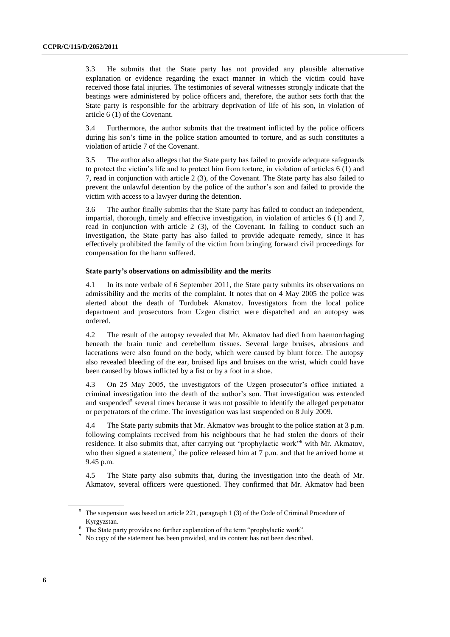3.3 He submits that the State party has not provided any plausible alternative explanation or evidence regarding the exact manner in which the victim could have received those fatal injuries. The testimonies of several witnesses strongly indicate that the beatings were administered by police officers and, therefore, the author sets forth that the State party is responsible for the arbitrary deprivation of life of his son, in violation of article 6 (1) of the Covenant.

3.4 Furthermore, the author submits that the treatment inflicted by the police officers during his son's time in the police station amounted to torture, and as such constitutes a violation of article 7 of the Covenant.

3.5 The author also alleges that the State party has failed to provide adequate safeguards to protect the victim's life and to protect him from torture, in violation of articles 6 (1) and 7, read in conjunction with article 2 (3), of the Covenant. The State party has also failed to prevent the unlawful detention by the police of the author's son and failed to provide the victim with access to a lawyer during the detention.

3.6 The author finally submits that the State party has failed to conduct an independent, impartial, thorough, timely and effective investigation, in violation of articles 6 (1) and 7, read in conjunction with article 2 (3), of the Covenant. In failing to conduct such an investigation, the State party has also failed to provide adequate remedy, since it has effectively prohibited the family of the victim from bringing forward civil proceedings for compensation for the harm suffered.

### **State party's observations on admissibility and the merits**

4.1 In its note verbale of 6 September 2011, the State party submits its observations on admissibility and the merits of the complaint. It notes that on 4 May 2005 the police was alerted about the death of Turdubek Akmatov. Investigators from the local police department and prosecutors from Uzgen district were dispatched and an autopsy was ordered.

4.2 The result of the autopsy revealed that Mr. Akmatov had died from haemorrhaging beneath the brain tunic and cerebellum tissues. Several large bruises, abrasions and lacerations were also found on the body, which were caused by blunt force. The autopsy also revealed bleeding of the ear, bruised lips and bruises on the wrist, which could have been caused by blows inflicted by a fist or by a foot in a shoe.

4.3 On 25 May 2005, the investigators of the Uzgen prosecutor's office initiated a criminal investigation into the death of the author's son. That investigation was extended and suspended<sup>5</sup> several times because it was not possible to identify the alleged perpetrator or perpetrators of the crime. The investigation was last suspended on 8 July 2009.

4.4 The State party submits that Mr. Akmatov was brought to the police station at 3 p.m. following complaints received from his neighbours that he had stolen the doors of their residence. It also submits that, after carrying out "prophylactic work"<sup>6</sup> with Mr. Akmatov, who then signed a statement,<sup>7</sup> the police released him at  $7$  p.m. and that he arrived home at 9.45 p.m.

4.5 The State party also submits that, during the investigation into the death of Mr. Akmatov, several officers were questioned. They confirmed that Mr. Akmatov had been

<sup>5</sup> The suspension was based on article 221, paragraph 1 (3) of the Code of Criminal Procedure of Kyrgyzstan.

<sup>6</sup> The State party provides no further explanation of the term "prophylactic work".

 $\frac{7}{1}$  No copy of the statement has been provided, and its content has not been described.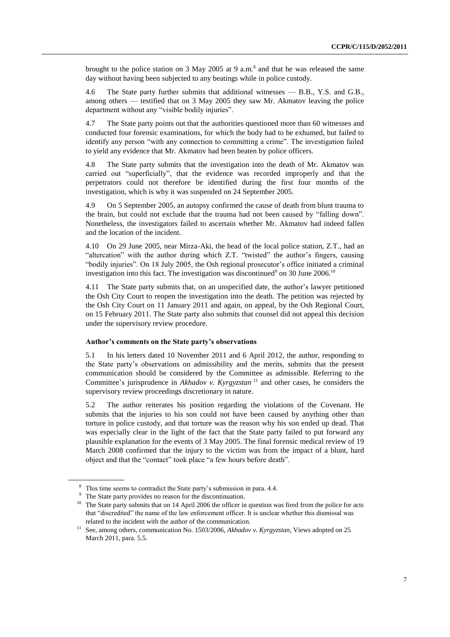brought to the police station on 3 May 2005 at 9 a.m.<sup>8</sup> and that he was released the same day without having been subjected to any beatings while in police custody.

4.6 The State party further submits that additional witnesses — B.B., Y.S. and G.B., among others — testified that on 3 May 2005 they saw Mr. Akmatov leaving the police department without any "visible bodily injuries".

4.7 The State party points out that the authorities questioned more than 60 witnesses and conducted four forensic examinations, for which the body had to be exhumed, but failed to identify any person "with any connection to committing a crime". The investigation failed to yield any evidence that Mr. Akmatov had been beaten by police officers.

4.8 The State party submits that the investigation into the death of Mr. Akmatov was carried out "superficially", that the evidence was recorded improperly and that the perpetrators could not therefore be identified during the first four months of the investigation, which is why it was suspended on 24 September 2005.

4.9 On 5 September 2005, an autopsy confirmed the cause of death from blunt trauma to the brain, but could not exclude that the trauma had not been caused by "falling down". Nonetheless, the investigators failed to ascertain whether Mr. Akmatov had indeed fallen and the location of the incident.

4.10 On 29 June 2005, near Mirza-Aki, the head of the local police station, Z.T., had an "altercation" with the author during which Z.T. "twisted" the author's fingers, causing "bodily injuries". On 18 July 2005, the Osh regional prosecutor's office initiated a criminal investigation into this fact. The investigation was discontinued<sup>9</sup> on 30 June 2006.<sup>10</sup>

4.11 The State party submits that, on an unspecified date, the author's lawyer petitioned the Osh City Court to reopen the investigation into the death. The petition was rejected by the Osh City Court on 11 January 2011 and again, on appeal, by the Osh Regional Court, on 15 February 2011. The State party also submits that counsel did not appeal this decision under the supervisory review procedure.

# **Author's comments on the State party's observations**

5.1 In his letters dated 10 November 2011 and 6 April 2012, the author, responding to the State party's observations on admissibility and the merits, submits that the present communication should be considered by the Committee as admissible. Referring to the Committee's jurisprudence in *Akhadov v. Kyrgyzstan*<sup>11</sup> and other cases, he considers the supervisory review proceedings discretionary in nature.

5.2 The author reiterates his position regarding the violations of the Covenant. He submits that the injuries to his son could not have been caused by anything other than torture in police custody, and that torture was the reason why his son ended up dead. That was especially clear in the light of the fact that the State party failed to put forward any plausible explanation for the events of 3 May 2005. The final forensic medical review of 19 March 2008 confirmed that the injury to the victim was from the impact of a blunt, hard object and that the "contact" took place "a few hours before death".

<sup>&</sup>lt;sup>8</sup> This time seems to contradict the State party's submission in para. 4.4.

<sup>&</sup>lt;sup>9</sup> The State party provides no reason for the discontinuation.

<sup>&</sup>lt;sup>10</sup> The State party submits that on 14 April 2006 the officer in question was fired from the police for acts that "discredited" the name of the law enforcement officer. It is unclear whether this dismissal was related to the incident with the author of the communication.

<sup>11</sup> See, among others, communication No. 1503/2006, *Akhadov v. Kyrgyzstan*, Views adopted on 25 March 2011, para. 5.5.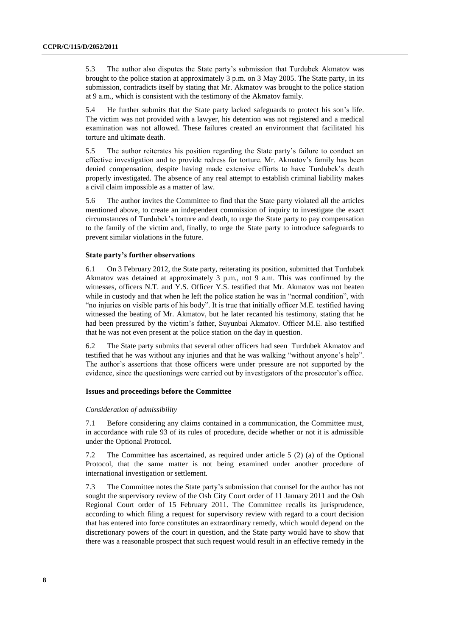5.3 The author also disputes the State party's submission that Turdubek Akmatov was brought to the police station at approximately 3 p.m. on 3 May 2005. The State party, in its submission, contradicts itself by stating that Mr. Akmatov was brought to the police station at 9 a.m., which is consistent with the testimony of the Akmatov family.

5.4 He further submits that the State party lacked safeguards to protect his son's life. The victim was not provided with a lawyer, his detention was not registered and a medical examination was not allowed. These failures created an environment that facilitated his torture and ultimate death.

5.5 The author reiterates his position regarding the State party's failure to conduct an effective investigation and to provide redress for torture. Mr. Akmatov's family has been denied compensation, despite having made extensive efforts to have Turdubek's death properly investigated. The absence of any real attempt to establish criminal liability makes a civil claim impossible as a matter of law.

5.6 The author invites the Committee to find that the State party violated all the articles mentioned above, to create an independent commission of inquiry to investigate the exact circumstances of Turdubek's torture and death, to urge the State party to pay compensation to the family of the victim and, finally, to urge the State party to introduce safeguards to prevent similar violations in the future.

### **State party's further observations**

6.1 On 3 February 2012, the State party, reiterating its position, submitted that Turdubek Akmatov was detained at approximately 3 p.m., not 9 a.m. This was confirmed by the witnesses, officers N.T. and Y.S. Officer Y.S. testified that Mr. Akmatov was not beaten while in custody and that when he left the police station he was in "normal condition", with "no injuries on visible parts of his body". It is true that initially officer M.E. testified having witnessed the beating of Mr. Akmatov, but he later recanted his testimony, stating that he had been pressured by the victim's father, Suyunbai Akmatov. Officer M.E. also testified that he was not even present at the police station on the day in question.

6.2 The State party submits that several other officers had seen Turdubek Akmatov and testified that he was without any injuries and that he was walking "without anyone's help". The author's assertions that those officers were under pressure are not supported by the evidence, since the questionings were carried out by investigators of the prosecutor's office.

# **Issues and proceedings before the Committee**

#### *Consideration of admissibility*

7.1 Before considering any claims contained in a communication, the Committee must, in accordance with rule 93 of its rules of procedure, decide whether or not it is admissible under the Optional Protocol.

7.2 The Committee has ascertained, as required under article 5 (2) (a) of the Optional Protocol, that the same matter is not being examined under another procedure of international investigation or settlement.

7.3 The Committee notes the State party's submission that counsel for the author has not sought the supervisory review of the Osh City Court order of 11 January 2011 and the Osh Regional Court order of 15 February 2011. The Committee recalls its jurisprudence, according to which filing a request for supervisory review with regard to a court decision that has entered into force constitutes an extraordinary remedy, which would depend on the discretionary powers of the court in question, and the State party would have to show that there was a reasonable prospect that such request would result in an effective remedy in the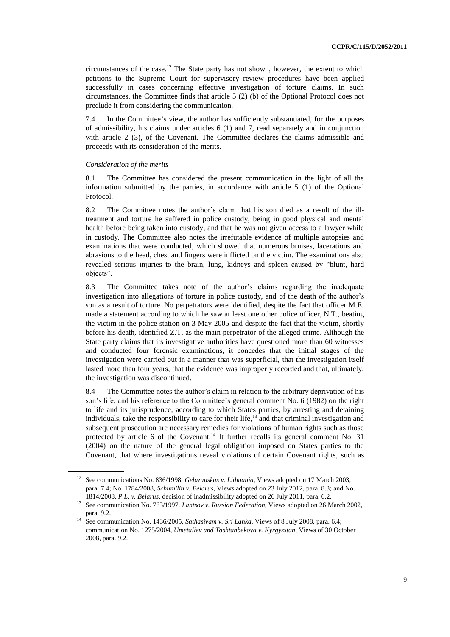circumstances of the case. <sup>12</sup> The State party has not shown, however, the extent to which petitions to the Supreme Court for supervisory review procedures have been applied successfully in cases concerning effective investigation of torture claims. In such circumstances, the Committee finds that article 5 (2) (b) of the Optional Protocol does not preclude it from considering the communication.

7.4 In the Committee's view, the author has sufficiently substantiated, for the purposes of admissibility, his claims under articles 6 (1) and 7, read separately and in conjunction with article 2 (3), of the Covenant. The Committee declares the claims admissible and proceeds with its consideration of the merits.

### *Consideration of the merits*

8.1 The Committee has considered the present communication in the light of all the information submitted by the parties, in accordance with article 5 (1) of the Optional Protocol.

8.2 The Committee notes the author's claim that his son died as a result of the illtreatment and torture he suffered in police custody, being in good physical and mental health before being taken into custody, and that he was not given access to a lawyer while in custody. The Committee also notes the irrefutable evidence of multiple autopsies and examinations that were conducted, which showed that numerous bruises, lacerations and abrasions to the head, chest and fingers were inflicted on the victim. The examinations also revealed serious injuries to the brain, lung, kidneys and spleen caused by "blunt, hard objects".

8.3 The Committee takes note of the author's claims regarding the inadequate investigation into allegations of torture in police custody, and of the death of the author's son as a result of torture. No perpetrators were identified, despite the fact that officer M.E. made a statement according to which he saw at least one other police officer, N.T., beating the victim in the police station on 3 May 2005 and despite the fact that the victim, shortly before his death, identified Z.T. as the main perpetrator of the alleged crime. Although the State party claims that its investigative authorities have questioned more than 60 witnesses and conducted four forensic examinations, it concedes that the initial stages of the investigation were carried out in a manner that was superficial, that the investigation itself lasted more than four years, that the evidence was improperly recorded and that, ultimately, the investigation was discontinued.

8.4 The Committee notes the author's claim in relation to the arbitrary deprivation of his son's life, and his reference to the Committee's general comment No. 6 (1982) on the right to life and its jurisprudence, according to which States parties, by arresting and detaining individuals, take the responsibility to care for their life, <sup>13</sup> and that criminal investigation and subsequent prosecution are necessary remedies for violations of human rights such as those protected by article 6 of the Covenant.<sup>14</sup> It further recalls its general comment No. 31 (2004) on the nature of the general legal obligation imposed on States parties to the Covenant, that where investigations reveal violations of certain Covenant rights, such as

<sup>12</sup> See communications No. 836/1998, *Gelazauskas v. Lithuania*, Views adopted on 17 March 2003, para. 7.4; No. 1784/2008, *Schumilin v. Belarus*, Views adopted on 23 July 2012, para. 8.3; and No. 1814/2008, *P.L. v. Belarus*, decision of inadmissibility adopted on 26 July 2011, para. 6.2.

<sup>13</sup> See communication No. 763/1997, *Lantsov v. Russian Federation*, Views adopted on 26 March 2002, para. 9.2.

<sup>14</sup> See communication No. 1436/2005, *Sathasivam v. Sri Lanka*, Views of 8 July 2008, para. 6.4; communication No. 1275/2004, *Umetaliev and Tashtanbekova v. Kyrgyzstan*, Views of 30 October 2008, para. 9.2.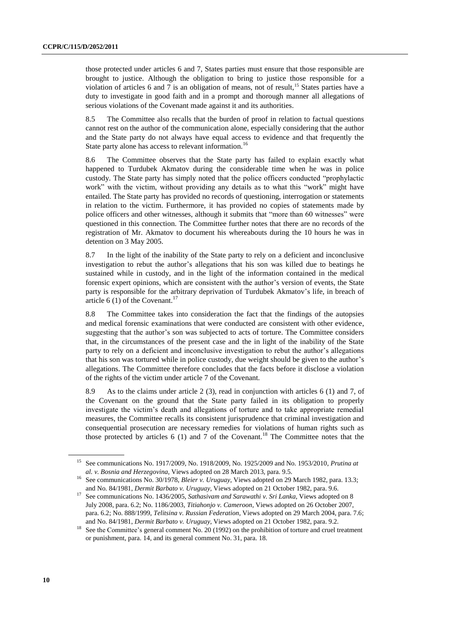those protected under articles 6 and 7, States parties must ensure that those responsible are brought to justice. Although the obligation to bring to justice those responsible for a violation of articles 6 and 7 is an obligation of means, not of result,<sup>15</sup> States parties have a duty to investigate in good faith and in a prompt and thorough manner all allegations of serious violations of the Covenant made against it and its authorities.

8.5 The Committee also recalls that the burden of proof in relation to factual questions cannot rest on the author of the communication alone, especially considering that the author and the State party do not always have equal access to evidence and that frequently the State party alone has access to relevant information.<sup>16</sup>

8.6 The Committee observes that the State party has failed to explain exactly what happened to Turdubek Akmatov during the considerable time when he was in police custody. The State party has simply noted that the police officers conducted "prophylactic work" with the victim, without providing any details as to what this "work" might have entailed. The State party has provided no records of questioning, interrogation or statements in relation to the victim. Furthermore, it has provided no copies of statements made by police officers and other witnesses, although it submits that "more than 60 witnesses" were questioned in this connection. The Committee further notes that there are no records of the registration of Mr. Akmatov to document his whereabouts during the 10 hours he was in detention on 3 May 2005.

8.7 In the light of the inability of the State party to rely on a deficient and inconclusive investigation to rebut the author's allegations that his son was killed due to beatings he sustained while in custody, and in the light of the information contained in the medical forensic expert opinions, which are consistent with the author's version of events, the State party is responsible for the arbitrary deprivation of Turdubek Akmatov's life, in breach of article 6 (1) of the Covenant.<sup>17</sup>

8.8 The Committee takes into consideration the fact that the findings of the autopsies and medical forensic examinations that were conducted are consistent with other evidence, suggesting that the author's son was subjected to acts of torture. The Committee considers that, in the circumstances of the present case and the in light of the inability of the State party to rely on a deficient and inconclusive investigation to rebut the author's allegations that his son was tortured while in police custody, due weight should be given to the author's allegations. The Committee therefore concludes that the facts before it disclose a violation of the rights of the victim under article 7 of the Covenant.

8.9 As to the claims under article 2 (3), read in conjunction with articles 6 (1) and 7, of the Covenant on the ground that the State party failed in its obligation to properly investigate the victim's death and allegations of torture and to take appropriate remedial measures, the Committee recalls its consistent jurisprudence that criminal investigation and consequential prosecution are necessary remedies for violations of human rights such as those protected by articles  $6(1)$  and  $7$  of the Covenant.<sup>18</sup> The Committee notes that the

<sup>15</sup> See communications No. 1917/2009, No. 1918/2009, No. 1925/2009 and No. 1953/2010, *Prutina at al. v. Bosnia and Herzegovina,* Views adopted on 28 March 2013, para. 9.5.

<sup>16</sup> See communications No. 30/1978, *Bleier v. Uruguay*, Views adopted on 29 March 1982, para. 13.3; and No. 84/1981, *Dermit Barbato v. Uruguay*, Views adopted on 21 October 1982, para. 9.6.

<sup>17</sup> See communications No. 1436/2005, *Sathasivam and Sarawathi v. Sri Lanka*, Views adopted on 8 July 2008, para. 6.2; No. 1186/2003, *Titiahonjo v. Cameroon*, Views adopted on 26 October 2007, para. 6.2; No. 888/1999, *Telitsina v. Russian Federation*, Views adopted on 29 March 2004, para. 7.6; and No. 84/1981, *Dermit Barbato v. Uruguay*, Views adopted on 21 October 1982, para. 9.2.

<sup>&</sup>lt;sup>18</sup> See the Committee's general comment No. 20 (1992) on the prohibition of torture and cruel treatment or punishment, para. 14, and its general comment No. 31, para. 18.